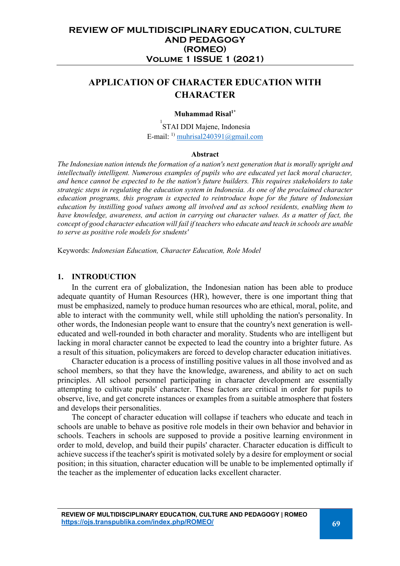# **APPLICATION OF CHARACTER EDUCATION WITH CHARACTER**

### **Muhammad Risal1\***

<sup>1</sup>STAI DDI Majene, Indonesia E-mail: <sup>1)</sup> muhrisal240391@gmail.com

#### **Abstract**

*The Indonesian nation intends the formation of a nation's next generation that is morally upright and intellectually intelligent. Numerous examples of pupils who are educated yet lack moral character, and hence cannot be expected to be the nation's future builders. This requires stakeholders to take strategic steps in regulating the education system in Indonesia. As one of the proclaimed character education programs, this program is expected to reintroduce hope for the future of Indonesian education by instilling good values among all involved and as school residents, enabling them to have knowledge, awareness, and action in carrying out character values. As a matter of fact, the concept of good character education will fail if teachers who educate and teach in schools are unable to serve as positive role models for students'*

Keywords: *Indonesian Education, Character Education, Role Model*

### **1. INTRODUCTION**

In the current era of globalization, the Indonesian nation has been able to produce adequate quantity of Human Resources (HR), however, there is one important thing that must be emphasized, namely to produce human resources who are ethical, moral, polite, and able to interact with the community well, while still upholding the nation's personality. In other words, the Indonesian people want to ensure that the country's next generation is welleducated and well-rounded in both character and morality. Students who are intelligent but lacking in moral character cannot be expected to lead the country into a brighter future. As a result of this situation, policymakers are forced to develop character education initiatives.

Character education is a process of instilling positive values in all those involved and as school members, so that they have the knowledge, awareness, and ability to act on such principles. All school personnel participating in character development are essentially attempting to cultivate pupils' character. These factors are critical in order for pupils to observe, live, and get concrete instances or examples from a suitable atmosphere that fosters and develops their personalities.

The concept of character education will collapse if teachers who educate and teach in schools are unable to behave as positive role models in their own behavior and behavior in schools. Teachers in schools are supposed to provide a positive learning environment in order to mold, develop, and build their pupils' character. Character education is difficult to achieve success if the teacher's spirit is motivated solely by a desire for employment or social position; in this situation, character education will be unable to be implemented optimally if the teacher as the implementer of education lacks excellent character.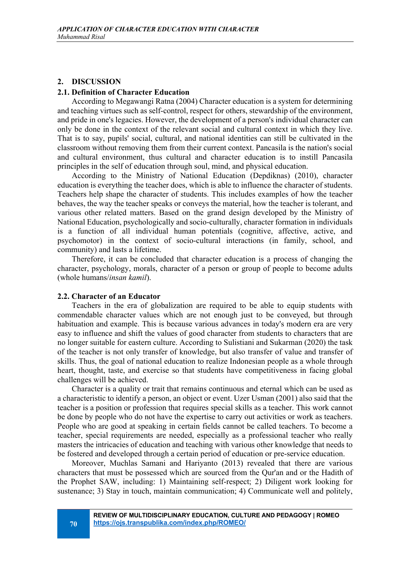### **2. DISCUSSION**

#### **2.1. Definition of Character Education**

According to Megawangi Ratna (2004) Character education is a system for determining and teaching virtues such as self-control, respect for others, stewardship of the environment, and pride in one's legacies. However, the development of a person's individual character can only be done in the context of the relevant social and cultural context in which they live. That is to say, pupils' social, cultural, and national identities can still be cultivated in the classroom without removing them from their current context. Pancasila is the nation's social and cultural environment, thus cultural and character education is to instill Pancasila principles in the self of education through soul, mind, and physical education.

According to the Ministry of National Education (Depdiknas) (2010), character education is everything the teacher does, which is able to influence the character of students. Teachers help shape the character of students. This includes examples of how the teacher behaves, the way the teacher speaks or conveys the material, how the teacher is tolerant, and various other related matters. Based on the grand design developed by the Ministry of National Education, psychologically and socio-culturally, character formation in individuals is a function of all individual human potentials (cognitive, affective, active, and psychomotor) in the context of socio-cultural interactions (in family, school, and community) and lasts a lifetime.

Therefore, it can be concluded that character education is a process of changing the character, psychology, morals, character of a person or group of people to become adults (whole humans/*insan kamil*).

#### **2.2. Character of an Educator**

Teachers in the era of globalization are required to be able to equip students with commendable character values which are not enough just to be conveyed, but through habituation and example. This is because various advances in today's modern era are very easy to influence and shift the values of good character from students to characters that are no longer suitable for eastern culture. According to Sulistiani and Sukarman (2020) the task of the teacher is not only transfer of knowledge, but also transfer of value and transfer of skills. Thus, the goal of national education to realize Indonesian people as a whole through heart, thought, taste, and exercise so that students have competitiveness in facing global challenges will be achieved.

Character is a quality or trait that remains continuous and eternal which can be used as a characteristic to identify a person, an object or event. Uzer Usman (2001) also said that the teacher is a position or profession that requires special skills as a teacher. This work cannot be done by people who do not have the expertise to carry out activities or work as teachers. People who are good at speaking in certain fields cannot be called teachers. To become a teacher, special requirements are needed, especially as a professional teacher who really masters the intricacies of education and teaching with various other knowledge that needs to be fostered and developed through a certain period of education or pre-service education.

Moreover, Muchlas Samani and Hariyanto (2013) revealed that there are various characters that must be possessed which are sourced from the Qur'an and or the Hadith of the Prophet SAW, including: 1) Maintaining self-respect; 2) Diligent work looking for sustenance; 3) Stay in touch, maintain communication; 4) Communicate well and politely,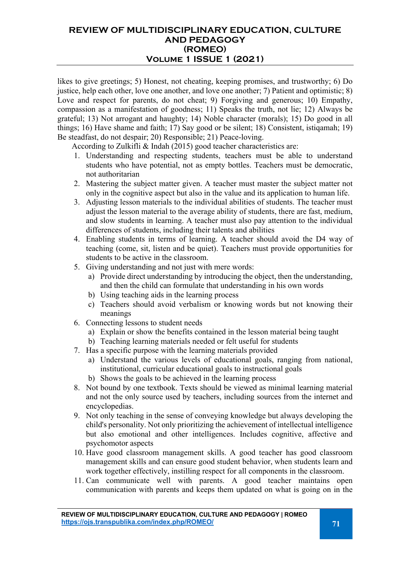# **REVIEW OF MULTIDISCIPLINARY EDUCATION, CULTURE AND PEDAGOGY (ROMEO) Volume 1 ISSUE 1 (2021)**

likes to give greetings; 5) Honest, not cheating, keeping promises, and trustworthy; 6) Do justice, help each other, love one another, and love one another; 7) Patient and optimistic; 8) Love and respect for parents, do not cheat; 9) Forgiving and generous; 10) Empathy, compassion as a manifestation of goodness; 11) Speaks the truth, not lie; 12) Always be grateful; 13) Not arrogant and haughty; 14) Noble character (morals); 15) Do good in all things; 16) Have shame and faith; 17) Say good or be silent; 18) Consistent, istiqamah; 19) Be steadfast, do not despair; 20) Responsible; 21) Peace-loving.

According to Zulkifli & Indah (2015) good teacher characteristics are:

- 1. Understanding and respecting students, teachers must be able to understand students who have potential, not as empty bottles. Teachers must be democratic, not authoritarian
- 2. Mastering the subject matter given. A teacher must master the subject matter not only in the cognitive aspect but also in the value and its application to human life.
- 3. Adjusting lesson materials to the individual abilities of students. The teacher must adjust the lesson material to the average ability of students, there are fast, medium, and slow students in learning. A teacher must also pay attention to the individual differences of students, including their talents and abilities
- 4. Enabling students in terms of learning. A teacher should avoid the D4 way of teaching (come, sit, listen and be quiet). Teachers must provide opportunities for students to be active in the classroom.
- 5. Giving understanding and not just with mere words:
	- a) Provide direct understanding by introducing the object, then the understanding, and then the child can formulate that understanding in his own words
	- b) Using teaching aids in the learning process
	- c) Teachers should avoid verbalism or knowing words but not knowing their meanings
- 6. Connecting lessons to student needs
	- a) Explain or show the benefits contained in the lesson material being taught
	- b) Teaching learning materials needed or felt useful for students
- 7. Has a specific purpose with the learning materials provided
	- a) Understand the various levels of educational goals, ranging from national, institutional, curricular educational goals to instructional goals
	- b) Shows the goals to be achieved in the learning process
- 8. Not bound by one textbook. Texts should be viewed as minimal learning material and not the only source used by teachers, including sources from the internet and encyclopedias.
- 9. Not only teaching in the sense of conveying knowledge but always developing the child's personality. Not only prioritizing the achievement of intellectual intelligence but also emotional and other intelligences. Includes cognitive, affective and psychomotor aspects
- 10. Have good classroom management skills. A good teacher has good classroom management skills and can ensure good student behavior, when students learn and work together effectively, instilling respect for all components in the classroom.
- 11. Can communicate well with parents. A good teacher maintains open communication with parents and keeps them updated on what is going on in the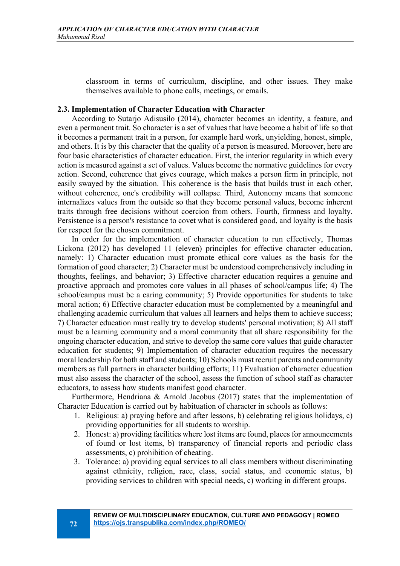classroom in terms of curriculum, discipline, and other issues. They make themselves available to phone calls, meetings, or emails.

#### **2.3. Implementation of Character Education with Character**

According to Sutarjo Adisusilo (2014), character becomes an identity, a feature, and even a permanent trait. So character is a set of values that have become a habit of life so that it becomes a permanent trait in a person, for example hard work, unyielding, honest, simple, and others. It is by this character that the quality of a person is measured. Moreover, here are four basic characteristics of character education. First, the interior regularity in which every action is measured against a set of values. Values become the normative guidelines for every action. Second, coherence that gives courage, which makes a person firm in principle, not easily swayed by the situation. This coherence is the basis that builds trust in each other, without coherence, one's credibility will collapse. Third, Autonomy means that someone internalizes values from the outside so that they become personal values, become inherent traits through free decisions without coercion from others. Fourth, firmness and loyalty. Persistence is a person's resistance to covet what is considered good, and loyalty is the basis for respect for the chosen commitment.

In order for the implementation of character education to run effectively, Thomas Lickona (2012) has developed 11 (eleven) principles for effective character education, namely: 1) Character education must promote ethical core values as the basis for the formation of good character; 2) Character must be understood comprehensively including in thoughts, feelings, and behavior; 3) Effective character education requires a genuine and proactive approach and promotes core values in all phases of school/campus life; 4) The school/campus must be a caring community; 5) Provide opportunities for students to take moral action; 6) Effective character education must be complemented by a meaningful and challenging academic curriculum that values all learners and helps them to achieve success; 7) Character education must really try to develop students' personal motivation; 8) All staff must be a learning community and a moral community that all share responsibility for the ongoing character education, and strive to develop the same core values that guide character education for students; 9) Implementation of character education requires the necessary moral leadership for both staff and students; 10) Schools must recruit parents and community members as full partners in character building efforts; 11) Evaluation of character education must also assess the character of the school, assess the function of school staff as character educators, to assess how students manifest good character.

Furthermore, Hendriana & Arnold Jacobus (2017) states that the implementation of Character Education is carried out by habituation of character in schools as follows:

- 1. Religious: a) praying before and after lessons, b) celebrating religious holidays, c) providing opportunities for all students to worship.
- 2. Honest: a) providing facilities where lost items are found, places for announcements of found or lost items, b) transparency of financial reports and periodic class assessments, c) prohibition of cheating.
- 3. Tolerance: a) providing equal services to all class members without discriminating against ethnicity, religion, race, class, social status, and economic status, b) providing services to children with special needs, c) working in different groups.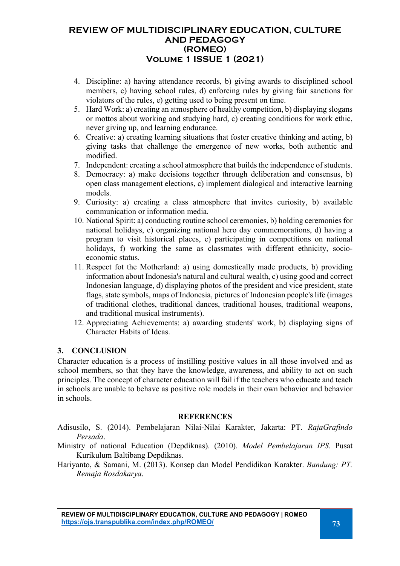# **REVIEW OF MULTIDISCIPLINARY EDUCATION, CULTURE AND PEDAGOGY (ROMEO) Volume 1 ISSUE 1 (2021)**

- 4. Discipline: a) having attendance records, b) giving awards to disciplined school members, c) having school rules, d) enforcing rules by giving fair sanctions for violators of the rules, e) getting used to being present on time.
- 5. Hard Work: a) creating an atmosphere of healthy competition, b) displaying slogans or mottos about working and studying hard, c) creating conditions for work ethic, never giving up, and learning endurance.
- 6. Creative: a) creating learning situations that foster creative thinking and acting, b) giving tasks that challenge the emergence of new works, both authentic and modified.
- 7. Independent: creating a school atmosphere that builds the independence of students.
- 8. Democracy: a) make decisions together through deliberation and consensus, b) open class management elections, c) implement dialogical and interactive learning models.
- 9. Curiosity: a) creating a class atmosphere that invites curiosity, b) available communication or information media.
- 10. National Spirit: a) conducting routine school ceremonies, b) holding ceremonies for national holidays, c) organizing national hero day commemorations, d) having a program to visit historical places, e) participating in competitions on national holidays, f) working the same as classmates with different ethnicity, socioeconomic status.
- 11. Respect fot the Motherland: a) using domestically made products, b) providing information about Indonesia's natural and cultural wealth, c) using good and correct Indonesian language, d) displaying photos of the president and vice president, state flags, state symbols, maps of Indonesia, pictures of Indonesian people's life (images of traditional clothes, traditional dances, traditional houses, traditional weapons, and traditional musical instruments).
- 12. Appreciating Achievements: a) awarding students' work, b) displaying signs of Character Habits of Ideas.

## **3. CONCLUSION**

Character education is a process of instilling positive values in all those involved and as school members, so that they have the knowledge, awareness, and ability to act on such principles. The concept of character education will fail if the teachers who educate and teach in schools are unable to behave as positive role models in their own behavior and behavior in schools.

#### **REFERENCES**

Adisusilo, S. (2014). Pembelajaran Nilai-Nilai Karakter, Jakarta: PT. *RajaGrafindo Persada*.

Ministry of national Education (Depdiknas). (2010). *Model Pembelajaran IPS*. Pusat Kurikulum Baltibang Depdiknas.

Hariyanto, & Samani, M. (2013). Konsep dan Model Pendidikan Karakter. *Bandung: PT. Remaja Rosdakarya*.